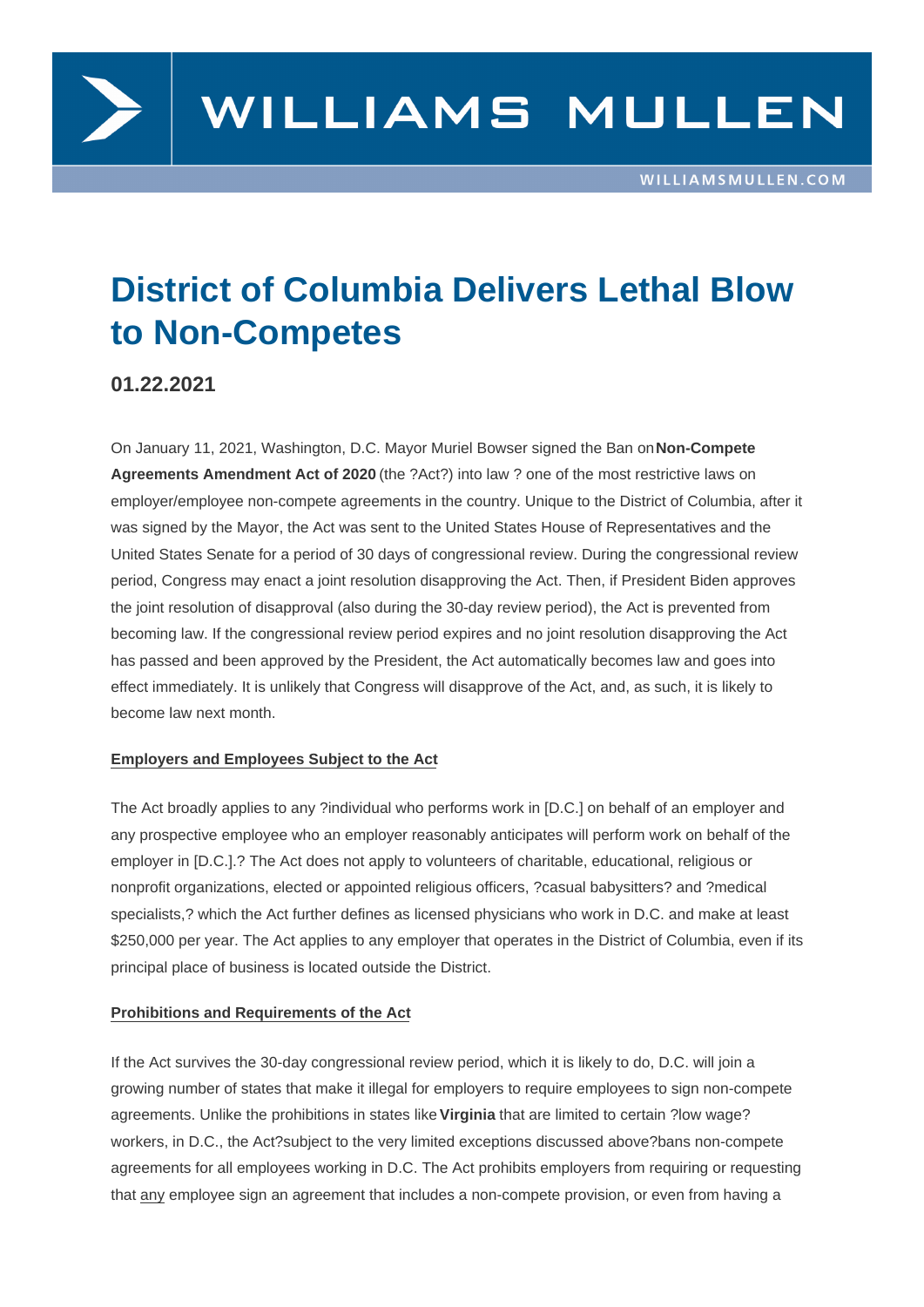# District of Columbia Delivers Lethal Blow to Non-Competes

01.22.2021

On January 11, 2021, Washington, D.C. Mayor Muriel Bowser signed the Ban on Non-Compete Agreements Amendment Act of 2020 (the ?Act?) into law ? one of the most restrictive laws on employer/employee non-compete agreements in the country. Unique to the District of Columbia, after it was signed by the Mayor, the Act was sent to the United States House of Repres[entatives and th](https://lims.dccouncil.us/downloads/LIMS/43373/Signed_Act/B23-0494-Signed_Act.pdf)e [United States Senate for a period of 30](https://lims.dccouncil.us/downloads/LIMS/43373/Signed_Act/B23-0494-Signed_Act.pdf) days of congressional review. During the congressional review period, Congress may enact a joint resolution disapproving the Act. Then, if President Biden approves the joint resolution of disapproval (also during the 30-day review period), the Act is prevented from becoming law. If the congressional review period expires and no joint resolution disapproving the Act has passed and been approved by the President, the Act automatically becomes law and goes into effect immediately. It is unlikely that Congress will disapprove of the Act, and, as such, it is likely to become law next month.

#### Employers and Employees Subject to the Act

The Act broadly applies to any ?individual who performs work in [D.C.] on behalf of an employer and any prospective employee who an employer reasonably anticipates will perform work on behalf of the employer in [D.C.].? The Act does not apply to volunteers of charitable, educational, religious or nonprofit organizations, elected or appointed religious officers, ?casual babysitters? and ?medical specialists,? which the Act further defines as licensed physicians who work in D.C. and make at least \$250,000 per year. The Act applies to any employer that operates in the District of Columbia, even if its principal place of business is located outside the District.

#### Prohibitions and Requirements of the Act

If the Act survives the 30-day congressional review period, which it is likely to do, D.C. will join a growing number of states that make it illegal for employers to require employees to sign non-compete agreements. Unlike the prohibitions in states like Virginia that are limited to certain ?low wage? workers, in D.C., the Act?subject to the very limited exceptions discussed above?bans non-compete agreements for all employees working in D.C. The Act prohibits employers from requiring or requesting that any employee sign an agreement that includ[es a non](https://www.williamsmullen.com/news/virginia-2020-general-assembly-what-virginia-employers-need-know)-compete provision, or even from having a